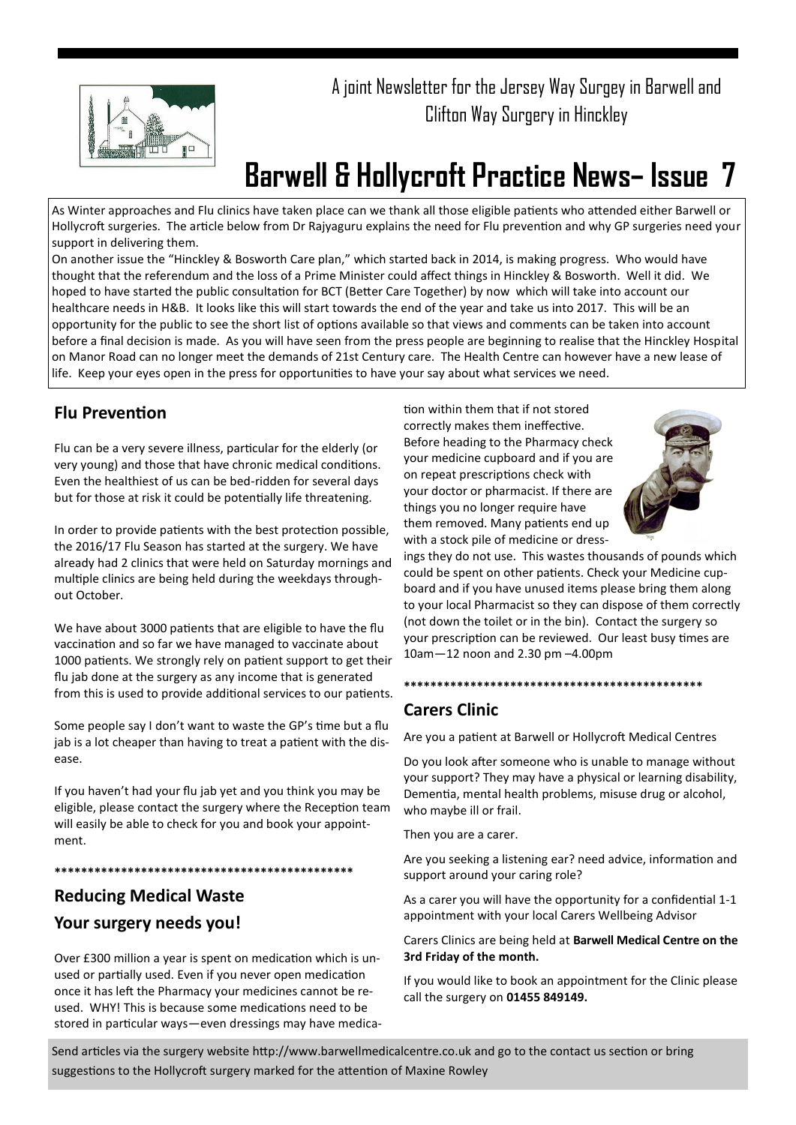

A joint Newsletter for the Jersey Way Surgey in Barwell and Clifton Way Surgery in Hinckley

# **Barwell & Hollycroft Practice News– Issue 7**

As Winter approaches and Flu clinics have taken place can we thank all those eligible patients who attended either Barwell or Hollycroft surgeries. The article below from Dr Rajyaguru explains the need for Flu prevention and why GP surgeries need your support in delivering them.

On another issue the "Hinckley & Bosworth Care plan," which started back in 2014, is making progress. Who would have thought that the referendum and the loss of a Prime Minister could affect things in Hinckley & Bosworth. Well it did. We hoped to have started the public consultation for BCT (Better Care Together) by now which will take into account our healthcare needs in H&B. It looks like this will start towards the end of the year and take us into 2017. This will be an opportunity for the public to see the short list of options available so that views and comments can be taken into account before a final decision is made. As you will have seen from the press people are beginning to realise that the Hinckley Hospital on Manor Road can no longer meet the demands of 21st Century care. The Health Centre can however have a new lease of life. Keep your eyes open in the press for opportunities to have your say about what services we need.

## **Flu Prevention**

Flu can be a very severe illness, particular for the elderly (or very young) and those that have chronic medical conditions. Even the healthiest of us can be bed-ridden for several days but for those at risk it could be potentially life threatening.

In order to provide patients with the best protection possible, the 2016/17 Flu Season has started at the surgery. We have already had 2 clinics that were held on Saturday mornings and multiple clinics are being held during the weekdays throughout October.

We have about 3000 patients that are eligible to have the flu vaccination and so far we have managed to vaccinate about 1000 patients. We strongly rely on patient support to get their flu jab done at the surgery as any income that is generated from this is used to provide additional services to our patients.

Some people say I don't want to waste the GP's time but a flu jab is a lot cheaper than having to treat a patient with the disease.

If you haven't had your flu jab yet and you think you may be eligible, please contact the surgery where the Reception team will easily be able to check for you and book your appointment.

**\*\*\*\*\*\*\*\*\*\*\*\*\*\*\*\*\*\*\*\*\*\*\*\*\*\*\*\*\*\*\*\*\*\*\*\*\*\*\*\*\*\*\*\*\***

# **Reducing Medical Waste Your surgery needs you!**

Over £300 million a year is spent on medication which is unused or partially used. Even if you never open medication once it has left the Pharmacy your medicines cannot be reused. WHY! This is because some medications need to be stored in particular ways—even dressings may have medication within them that if not stored correctly makes them ineffective. Before heading to the Pharmacy check your medicine cupboard and if you are on repeat prescriptions check with your doctor or pharmacist. If there are things you no longer require have them removed. Many patients end up with a stock pile of medicine or dress-



ings they do not use. This wastes thousands of pounds which could be spent on other patients. Check your Medicine cupboard and if you have unused items please bring them along to your local Pharmacist so they can dispose of them correctly (not down the toilet or in the bin). Contact the surgery so your prescription can be reviewed. Our least busy times are 10am—12 noon and 2.30 pm –4.00pm

#### **\*\*\*\*\*\*\*\*\*\*\*\*\*\*\*\*\*\*\*\*\*\*\*\*\*\*\*\*\*\*\*\*\*\*\*\*\*\*\*\*\*\*\*\*\***

## **Carers Clinic**

Are you a patient at Barwell or Hollycroft Medical Centres

Do you look after someone who is unable to manage without your support? They may have a physical or learning disability, Dementia, mental health problems, misuse drug or alcohol, who maybe ill or frail.

Then you are a carer.

Are you seeking a listening ear? need advice, information and support around your caring role?

As a carer you will have the opportunity for a confidential 1-1 appointment with your local Carers Wellbeing Advisor

#### Carers Clinics are being held at **Barwell Medical Centre on the 3rd Friday of the month.**

If you would like to book an appointment for the Clinic please call the surgery on **01455 849149.**

Send articles via the surgery website http://www.barwellmedicalcentre.co.uk and go to the contact us section or bring suggestions to the Hollycroft surgery marked for the attention of Maxine Rowley